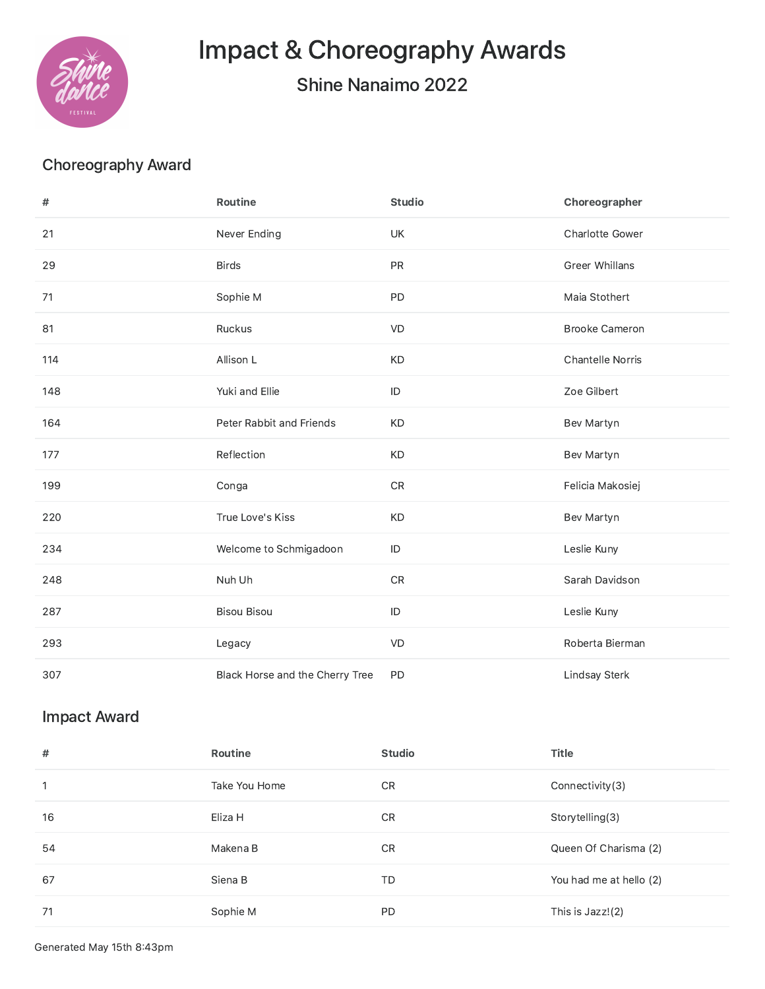

Impact & Choreography Awards

Shine Nanaimo 2022

## Choreography Award

| #   | Routine                         | <b>Studio</b> | Choreographer           |
|-----|---------------------------------|---------------|-------------------------|
| 21  | Never Ending                    | UK            | <b>Charlotte Gower</b>  |
| 29  | <b>Birds</b>                    | PR            | Greer Whillans          |
| 71  | Sophie M                        | PD            | Maia Stothert           |
| 81  | Ruckus                          | VD            | <b>Brooke Cameron</b>   |
| 114 | Allison L                       | KD            | <b>Chantelle Norris</b> |
| 148 | Yuki and Ellie                  | $\mathsf{ID}$ | Zoe Gilbert             |
| 164 | Peter Rabbit and Friends        | <b>KD</b>     | Bev Martyn              |
| 177 | Reflection                      | <b>KD</b>     | Bev Martyn              |
| 199 | Conga                           | ${\sf CR}$    | Felicia Makosiej        |
| 220 | True Love's Kiss                | KD            | Bev Martyn              |
| 234 | Welcome to Schmigadoon          | $\mathsf{ID}$ | Leslie Kuny             |
| 248 | Nuh Uh                          | ${\sf CR}$    | Sarah Davidson          |
| 287 | <b>Bisou Bisou</b>              | $\mathsf{ID}$ | Leslie Kuny             |
| 293 | Legacy                          | VD            | Roberta Bierman         |
| 307 | Black Horse and the Cherry Tree | PD            | Lindsay Sterk           |

## Impact Award

| #            | <b>Routine</b> | <b>Studio</b> | <b>Title</b>            |
|--------------|----------------|---------------|-------------------------|
| $\mathbf{1}$ | Take You Home  | CR            | Connectivity(3)         |
| 16           | Eliza H        | CR            | Storytelling(3)         |
| 54           | Makena B       | CR.           | Queen Of Charisma (2)   |
| 67           | Siena B        | TD            | You had me at hello (2) |
| 71           | Sophie M       | <b>PD</b>     | This is Jazz!(2)        |